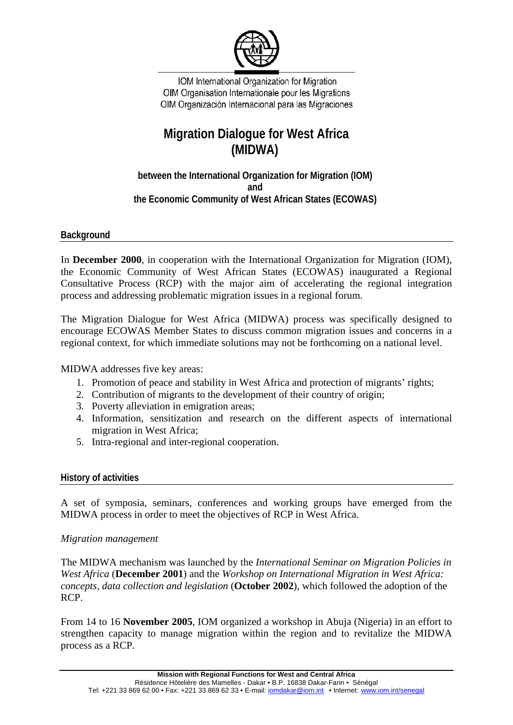

IOM International Organization for Migration OIM Organisation Internationale pour les Migrations OIM Organización Internacional para las Migraciones

# **Migration Dialogue for West Africa (MIDWA)**

**between the International Organization for Migration (IOM) and the Economic Community of West African States (ECOWAS)** 

**Background** 

In **December 2000**, in cooperation with the International Organization for Migration (IOM), the Economic Community of West African States (ECOWAS) inaugurated a Regional Consultative Process (RCP) with the major aim of accelerating the regional integration process and addressing problematic migration issues in a regional forum.

The Migration Dialogue for West Africa (MIDWA) process was specifically designed to encourage ECOWAS Member States to discuss common migration issues and concerns in a regional context, for which immediate solutions may not be forthcoming on a national level.

MIDWA addresses five key areas:

- 1. Promotion of peace and stability in West Africa and protection of migrants' rights;
- 2. Contribution of migrants to the development of their country of origin;
- 3. Poverty alleviation in emigration areas;
- 4. Information, sensitization and research on the different aspects of international migration in West Africa;
- 5. Intra-regional and inter-regional cooperation.

### **History of activities**

A set of symposia, seminars, conferences and working groups have emerged from the MIDWA process in order to meet the objectives of RCP in West Africa.

### *Migration management*

The MIDWA mechanism was launched by the *International Seminar on Migration Policies in West Africa* (**December 2001**) and the *Workshop on International Migration in West Africa: concepts, data collection and legislation* (**October 2002**), which followed the adoption of the RCP.

From 14 to 16 **November 2005**, IOM organized a workshop in Abuja (Nigeria) in an effort to strengthen capacity to manage migration within the region and to revitalize the MIDWA process as a RCP.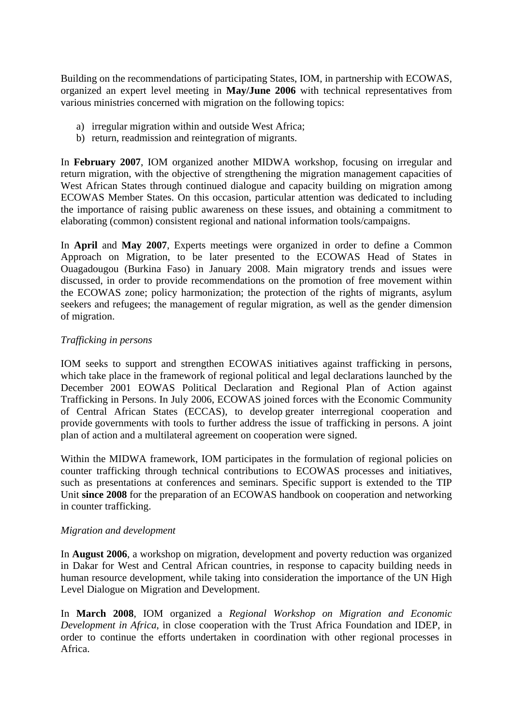Building on the recommendations of participating States, IOM, in partnership with ECOWAS, organized an expert level meeting in **May/June 2006** with technical representatives from various ministries concerned with migration on the following topics:

- a) irregular migration within and outside West Africa;
- b) return, readmission and reintegration of migrants.

In **February 2007**, IOM organized another MIDWA workshop, focusing on irregular and return migration, with the objective of strengthening the migration management capacities of West African States through continued dialogue and capacity building on migration among ECOWAS Member States. On this occasion, particular attention was dedicated to including the importance of raising public awareness on these issues, and obtaining a commitment to elaborating (common) consistent regional and national information tools/campaigns.

In **April** and **May 2007**, Experts meetings were organized in order to define a Common Approach on Migration, to be later presented to the ECOWAS Head of States in Ouagadougou (Burkina Faso) in January 2008. Main migratory trends and issues were discussed, in order to provide recommendations on the promotion of free movement within the ECOWAS zone; policy harmonization; the protection of the rights of migrants, asylum seekers and refugees; the management of regular migration, as well as the gender dimension of migration.

# *Trafficking in persons*

IOM seeks to support and strengthen ECOWAS initiatives against trafficking in persons, which take place in the framework of regional political and legal declarations launched by the December 2001 EOWAS Political Declaration and Regional Plan of Action against Trafficking in Persons. In July 2006, ECOWAS joined forces with the Economic Community of Central African States (ECCAS), to develop greater interregional cooperation and provide governments with tools to further address the issue of trafficking in persons. A joint plan of action and a multilateral agreement on cooperation were signed.

Within the MIDWA framework, IOM participates in the formulation of regional policies on counter trafficking through technical contributions to ECOWAS processes and initiatives, such as presentations at conferences and seminars. Specific support is extended to the TIP Unit **since 2008** for the preparation of an ECOWAS handbook on cooperation and networking in counter trafficking.

### *Migration and development*

In **August 2006**, a workshop on migration, development and poverty reduction was organized in Dakar for West and Central African countries, in response to capacity building needs in human resource development, while taking into consideration the importance of the UN High Level Dialogue on Migration and Development.

In **March 2008**, IOM organized a *Regional Workshop on Migration and Economic Development in Africa*, in close cooperation with the Trust Africa Foundation and IDEP, in order to continue the efforts undertaken in coordination with other regional processes in Africa.